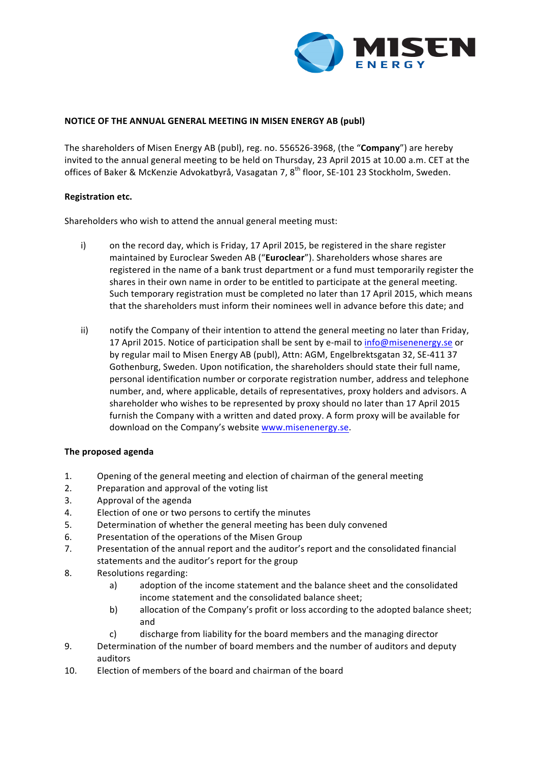

## **NOTICE OF THE ANNUAL GENERAL MEETING IN MISEN ENERGY AB (publ)**

The shareholders of Misen Energy AB (publ), reg. no. 556526-3968, (the "**Company**") are hereby invited to the annual general meeting to be held on Thursday, 23 April 2015 at 10.00 a.m. CET at the offices of Baker & McKenzie Advokatbyrå, Vasagatan 7, 8<sup>th</sup> floor, SE-101 23 Stockholm, Sweden.

## **Registration etc.**

Shareholders who wish to attend the annual general meeting must:

- i) on the record day, which is Friday, 17 April 2015, be registered in the share register maintained by Euroclear Sweden AB ("Euroclear"). Shareholders whose shares are registered in the name of a bank trust department or a fund must temporarily register the shares in their own name in order to be entitled to participate at the general meeting. Such temporary registration must be completed no later than 17 April 2015, which means that the shareholders must inform their nominees well in advance before this date; and
- ii) notify the Company of their intention to attend the general meeting no later than Friday, 17 April 2015. Notice of participation shall be sent by e-mail to info@misenenergy.se or by regular mail to Misen Energy AB (publ), Attn: AGM, Engelbrektsgatan 32, SE-411 37 Gothenburg, Sweden. Upon notification, the shareholders should state their full name, personal identification number or corporate registration number, address and telephone number, and, where applicable, details of representatives, proxy holders and advisors. A shareholder who wishes to be represented by proxy should no later than 17 April 2015 furnish the Company with a written and dated proxy. A form proxy will be available for download on the Company's website www.misenenergy.se.

## **The proposed agenda**

- 1. Opening of the general meeting and election of chairman of the general meeting
- 2. Preparation and approval of the voting list
- 3. Approval of the agenda
- 4. Election of one or two persons to certify the minutes
- 5. Determination of whether the general meeting has been duly convened
- 6. Presentation of the operations of the Misen Group
- 7. Presentation of the annual report and the auditor's report and the consolidated financial statements and the auditor's report for the group
- 8. Resolutions regarding:
	- a) adoption of the income statement and the balance sheet and the consolidated income statement and the consolidated balance sheet;
	- b) allocation of the Company's profit or loss according to the adopted balance sheet; and
	- c) discharge from liability for the board members and the managing director
- 9. Determination of the number of board members and the number of auditors and deputy auditors
- 10. Election of members of the board and chairman of the board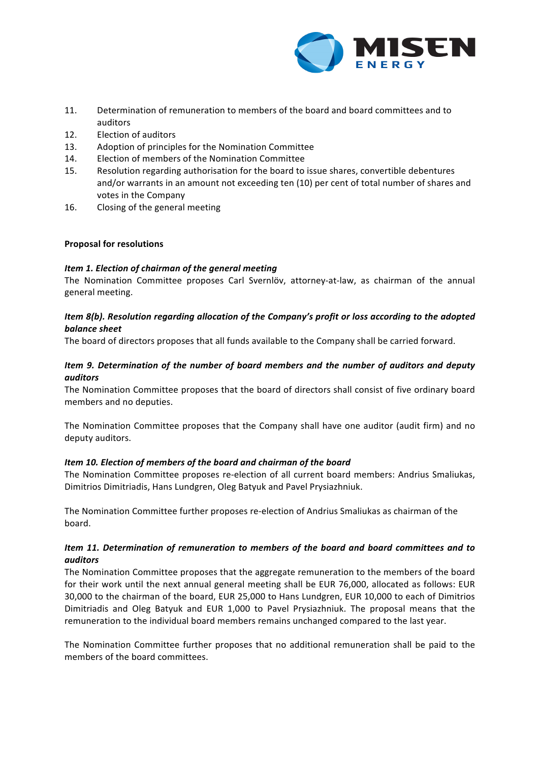

- 11. Determination of remuneration to members of the board and board committees and to auditors
- 12. Election of auditors
- 13. Adoption of principles for the Nomination Committee
- 14. Election of members of the Nomination Committee
- 15. Resolution regarding authorisation for the board to issue shares, convertible debentures and/or warrants in an amount not exceeding ten (10) per cent of total number of shares and votes in the Company
- 16. Closing of the general meeting

# **Proposal for resolutions**

# *Item 1. Election of chairman of the general meeting*

The Nomination Committee proposes Carl Svernlöv, attorney-at-law, as chairman of the annual general meeting. 

# *Item* 8(b). Resolution regarding allocation of the Company's profit or loss according to the adopted *balance sheet*

The board of directors proposes that all funds available to the Company shall be carried forward.

# *Item* 9. Determination of the number of board members and the number of auditors and deputy *auditors*

The Nomination Committee proposes that the board of directors shall consist of five ordinary board members and no deputies.

The Nomination Committee proposes that the Company shall have one auditor (audit firm) and no deputy auditors.

# *Item 10. Election of members of the board and chairman of the board*

The Nomination Committee proposes re-election of all current board members: Andrius Smaliukas, Dimitrios Dimitriadis, Hans Lundgren, Oleg Batyuk and Pavel Prysiazhniuk.

The Nomination Committee further proposes re-election of Andrius Smaliukas as chairman of the board.

# *Item* 11. Determination of remuneration to members of the board and board committees and to *auditors*

The Nomination Committee proposes that the aggregate remuneration to the members of the board for their work until the next annual general meeting shall be EUR 76,000, allocated as follows: EUR 30,000 to the chairman of the board, EUR 25,000 to Hans Lundgren, EUR 10,000 to each of Dimitrios Dimitriadis and Oleg Batyuk and EUR 1,000 to Pavel Prysiazhniuk. The proposal means that the remuneration to the individual board members remains unchanged compared to the last year.

The Nomination Committee further proposes that no additional remuneration shall be paid to the members of the board committees.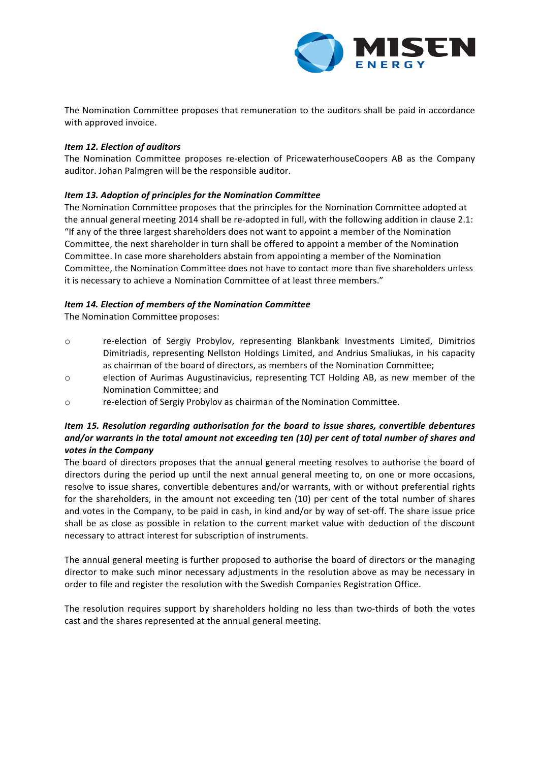

The Nomination Committee proposes that remuneration to the auditors shall be paid in accordance with approved invoice.

## **Item 12. Election of auditors**

The Nomination Committee proposes re-election of PricewaterhouseCoopers AB as the Company auditor. Johan Palmgren will be the responsible auditor.

# *Item 13. Adoption of principles for the Nomination Committee*

The Nomination Committee proposes that the principles for the Nomination Committee adopted at the annual general meeting 2014 shall be re-adopted in full, with the following addition in clause 2.1: "If any of the three largest shareholders does not want to appoint a member of the Nomination Committee, the next shareholder in turn shall be offered to appoint a member of the Nomination Committee. In case more shareholders abstain from appointing a member of the Nomination Committee, the Nomination Committee does not have to contact more than five shareholders unless it is necessary to achieve a Nomination Committee of at least three members."

# *Item 14. Election of members of the Nomination Committee*

The Nomination Committee proposes:

- o re-election of Sergiy Probylov, representing Blankbank Investments Limited, Dimitrios Dimitriadis, representing Nellston Holdings Limited, and Andrius Smaliukas, in his capacity as chairman of the board of directors, as members of the Nomination Committee:
- o election of Aurimas Augustinavicius, representing TCT Holding AB, as new member of the Nomination Committee; and
- o re-election of Sergiy Probylov as chairman of the Nomination Committee.

## *Item* 15. Resolution regarding authorisation for the board to issue shares, convertible debentures *and/or* warrants in the total amount not exceeding ten (10) per cent of total number of shares and votes in the Company

The board of directors proposes that the annual general meeting resolves to authorise the board of directors during the period up until the next annual general meeting to, on one or more occasions, resolve to issue shares, convertible debentures and/or warrants, with or without preferential rights for the shareholders, in the amount not exceeding ten (10) per cent of the total number of shares and votes in the Company, to be paid in cash, in kind and/or by way of set-off. The share issue price shall be as close as possible in relation to the current market value with deduction of the discount necessary to attract interest for subscription of instruments.

The annual general meeting is further proposed to authorise the board of directors or the managing director to make such minor necessary adjustments in the resolution above as may be necessary in order to file and register the resolution with the Swedish Companies Registration Office.

The resolution requires support by shareholders holding no less than two-thirds of both the votes cast and the shares represented at the annual general meeting.